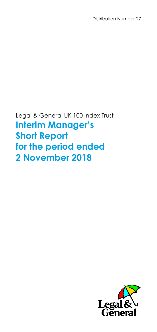Distribution Number 27

Legal & General UK 100 Index Trust **Interim Manager's Short Report for the period ended 2 November 2018**

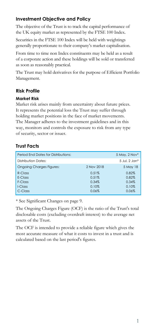# **Investment Objective and Policy**

The objective of the Trust is to track the capital performance of the UK equity market as represented by the FTSE 100 Index.

Securities in the FTSE 100 Index will be held with weightings generally proportionate to their company's market capitalisation.

From time to time non Index constituents may be held as a result of a corporate action and these holdings will be sold or transferred as soon as reasonably practical.

The Trust may hold derivatives for the purpose of Efficient Portfolio Management.

# **Risk Profile**

### **Market Risk**

Market risk arises mainly from uncertainty about future prices. It represents the potential loss the Trust may suffer through holding market positions in the face of market movements. The Manager adheres to the investment guidelines and in this way, monitors and controls the exposure to risk from any type of security, sector or issuer.

# **Trust Facts**

| Period End Dates for Distributions: |            | 5 May, 2 Nov* |
|-------------------------------------|------------|---------------|
| <b>Distribution Dates:</b>          |            | 5 Jul. 2 Jan* |
| <b>Ongoing Charges Figures:</b>     | 2 Nov 2018 | 5 May 18      |
| $R$ -Class                          | 0.51%      | 0.82%         |
| E-Class                             | 0.51%      | 0.82%         |
| F-Class                             | 0.34%      | 0.34%         |
| $LCI$ ass                           | 0.10%      | 0.10%         |
| C-Class                             | 0.06%      | 0.06%         |

\* See Significant Changes on page 9.

The Ongoing Charges Figure (OCF) is the ratio of the Trust's total disclosable costs (excluding overdraft interest) to the average net assets of the Trust.

The OCF is intended to provide a reliable figure which gives the most accurate measure of what it costs to invest in a trust and is calculated based on the last period's figures.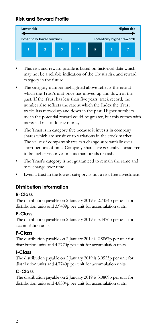# **Risk and Reward Profile**



- This risk and reward profile is based on historical data which may not be a reliable indication of the Trust's risk and reward category in the future.
- The category number highlighted above reflects the rate at which the Trust's unit price has moved up and down in the past. If the Trust has less than five years' track record, the number also reflects the rate at which the Index the Trust tracks has moved up and down in the past. Higher numbers mean the potential reward could be greater, but this comes with increased risk of losing money.
- The Trust is in category five because it invests in company shares which are sensitive to variations in the stock market. The value of company shares can change substantially over short periods of time. Company shares are generally considered to be higher risk investments than bonds or cash.
- The Trust's category is not guaranteed to remain the same and may change over time.
- Even a trust in the lowest category is not a risk free investment.

# **Distribution Information**

## **R-Class**

The distribution payable on 2 January 2019 is 2.7354p per unit for distribution units and 3.9489p per unit for accumulation units.

# **E-Class**

The distribution payable on 2 January 2019 is 3.4476p per unit for accumulation units.

# **F-Class**

The distribution payable on 2 January 2019 is 2.8867p per unit for distribution units and 4.2770p per unit for accumulation units.

## **I-Class**

The distribution payable on 2 January 2019 is 3.0523p per unit for distribution units and 4.7740p per unit for accumulation units.

# **C-Class**

The distribution payable on 2 January 2019 is 3.0809p per unit for distribution units and 4.8304p per unit for accumulation units.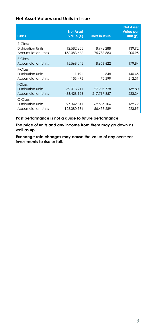### **Net Asset Values and Units in Issue**

| <b>Class</b>                                                  | <b>Net Asset</b><br>Value (£) | <b>Units in Issue</b>     | <b>Net Asset</b><br><b>Value per</b><br>Unit $(p)$ |
|---------------------------------------------------------------|-------------------------------|---------------------------|----------------------------------------------------|
| $R$ -Class<br>Distribution Units<br><b>Accumulation Units</b> | 12.582.255<br>156.083.666     | 8.992.288<br>75.787.883   | 139.92<br>205.95                                   |
| F-Class<br><b>Accumulation Units</b>                          | 15,568,045                    | 8.656.622                 | 179.84                                             |
| F-Class<br>Distribution Units<br><b>Accumulation Units</b>    | 1.191<br>153.495              | 848<br>72.299             | 140.45<br>212.31                                   |
| LClass<br>Distribution Units<br><b>Accumulation Units</b>     | 39,013,211<br>486.428.156     | 27.905.778<br>217.797.857 | 139.80<br>223.34                                   |
| C-Class<br>Distribution Units<br><b>Accumulation Units</b>    | 97.342.541<br>126.380.934     | 69.636.106<br>56.433.589  | 139.79<br>223.95                                   |

**Past performance is not a guide to future performance.**

**The price of units and any income from them may go down as well as up.** 

**Exchange rate changes may cause the value of any overseas investments to rise or fall.**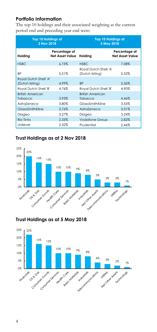# **Portfolio Information**

The top 10 holdings and their associated weighting at the current period end and preceding year end were:

| <b>Top 10 Holdings at</b><br>2 Nov 2018 |                                         | <b>Top 10 Holdings at</b><br>5 May 2018  |                                         |
|-----------------------------------------|-----------------------------------------|------------------------------------------|-----------------------------------------|
| Holding                                 | Percentage of<br><b>Net Asset Value</b> | Holding                                  | Percentage of<br><b>Net Asset Value</b> |
| <b>HSBC</b>                             | 6.73%                                   | <b>HSBC</b>                              | 7.08%                                   |
| <b>BP</b>                               | 5.51%                                   | Royal Dutch Shell 'A'<br>(Dutch listing) | 5.52%                                   |
| Royal Dutch Shell 'A'                   |                                         |                                          |                                         |
| (Dutch listing)                         | 4.99%                                   | <b>BP</b>                                | 5.36%                                   |
| Royal Dutch Shell 'B'                   | 4.76%                                   | Royal Dutch Shell 'B'                    | 4.90%                                   |
| <b>British American</b>                 |                                         | <b>British American</b>                  |                                         |
| Tobacco                                 | 3.93%                                   | Tobacco                                  | 4.46%                                   |
| AstraZeneca                             | 3.80%                                   | GlaxoSmithKline                          | 3.55%                                   |
| GlaxoSmithKline                         | 3.76%                                   | AstraZeneca                              | 3.31%                                   |
| Diageo                                  | 3.27%                                   | Diageo                                   | 3.24%                                   |
| Rio Tinto                               | 2.33%                                   | <b>Vodafone Group</b>                    | 2.82%                                   |
| Unilever                                | 2.32%                                   | Prudential                               | 2.46%                                   |

# **Trust Holdings as at 2 Nov 2018**



# **Trust Holdings as at 5 May 2018**

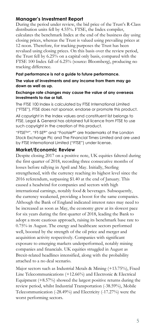## **Manager's Investment Report**

During the period under review, the bid price of the Trust's R-Class distribution units fell by 4.55%. FTSE, the Index compiler, calculates the benchmark Index at the end of the business day using closing prices, whereas the Trust is valued using prevailing prices at 12 noon. Therefore, for tracking purposes the Trust has been revalued using closing prices. On this basis over the review period, the Trust fell by 6.25% on a capital only basis, compared with the FTSE 100 Index fall of 6.25% (source: Bloomberg), producing no tracking difference.

#### **Past performance is not a guide to future performance.**

#### **The value of investments and any income from them may go down as well as up.**

#### **Exchange rate changes may cause the value of any overseas investments to rise or fall.**

The FTSE 100 Index is calculated by FTSE International Limited ("FTSE"). FTSE does not sponsor, endorse or promote this product.

All copyright in the Index values and constituent list belongs to FTSE. Legal & General has obtained full licence from FTSE to use such copyright in the creation of this product.

"FTSETM", "FT-SE®" and "Footsie®" are trademarks of the London Stock Exchange Plc and The Financial Times Limited and are used by FTSE International Limited ("FTSE") under license.

## **Market/Economic Review**

Despite closing 2017 on a positive note, UK equities faltered during the first quarter of 2018, recording three consecutive months of losses before rallying in April and May. Initially, Sterling strengthened, with the currency reaching its highest level since the 2016 referendum, surpassing \$1.40 at the end of January. This caused a headwind for companies and sectors with high international earnings, notably food & beverages. Subsequently, the currency weakened, providing a boost for the same companies. Although the Bank of England indicated interest rates may need to be increased as soon as May, the economy grew at its slowest pace for six years during the first quarter of 2018, leading the Bank to adopt a more cautious approach, raising its benchmark base rate to 0.75% in August. The energy and healthcare sectors performed well, boosted by the strength of the oil price and merger and acquisition activity respectively. Companies with significant exposure to emerging markets underperformed, notably mining companies and financials. UK equities struggled in August as Brexit-related headlines intensified, along with the probability attached to a no deal scenario.

Major sectors such as Industrial Metals & Mining (+13.75%), Fixed Line Telecommunications (+12.66%) and Electronic & Electrical Equipment (+8.57%) showed the largest positive returns during the review period, whilst Industrial Transportation (-38.59%), Mobile Telecommunication (-28.49%) and Electricity (-17.27%) were the worst performing sectors.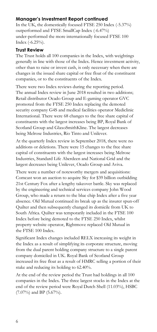# **Manager's Investment Report continued**

In the UK, the domestically focused FTSE 250 Index (-5.37%) outperformed and FTSE SmallCap Index (-6.47%) under-performed the more internationally focused FTSE 100 Index (-6.25%).

## **Trust Review**

The Trust holds all 100 companies in the Index, with weightings generally in line with those of the Index. Hence investment activity, other than to raise or invest cash, is only necessary when there are changes in the issued share capital or free float of the constituent companies, or to the constituents of the Index.

There were two Index reviews during the reporting period. The annual Index review in June 2018 resulted in two additions; Retail distributor Ocado Group and E-gaming operator GVC promoted from the FTSE 250 Index replacing the demoted security company G4S and medical facilities operator Mediclinic International. There were 68 changes to the free share capital of constituents with the largest increases being BP, Royal Bank of Scotland Group and GlaxoSmithKline. The largest decreases being Melrose Industries, Rio Tinto and Unilever.

At the quarterly Index review in September 2018, there were no additions or deletions. There were 15 changes to the free share capital of constituents with the largest increases being Melrose Industries, Standard Life Aberdeen and National Grid and the largest decreases being Unilever, Ocado Group and Aviva.

There were a number of noteworthy mergers and acquisitions: Comcast won an auction to acquire Sky for \$39 billion outbidding 21st Century Fox after a lengthy takeover battle. Sky was replaced by the engineering and technical services company John Wood Group, who made a return to the blue chip Index after a five year absence. Old Mutual continued its break up as the insurer spun-off Quilter and then subsequently changed its domicile from UK to South Africa. Quilter was temporarily included in the FTSE 100 Index before being demoted to the FTSE 250 Index, whilst property website operator, Rightmove replaced Old Mutual in the FTSE 100 Index.

Significant Index changes included RELX increasing its weight in the Index as a result of simplifying its corporate structure, moving from the dual parent holding company structure to a single parent company domiciled in UK. Royal Bank of Scotland Group increased its free float as a result of HMRC selling a portion of their stake and reducing its holding to 62.40%.

At the end of the review period the Trust had holdings in all 100 companies in the Index. The three largest stocks in the Index at the end of the review period were Royal Dutch Shell (11.03%), HSBC (7.07%) and BP (5.67%).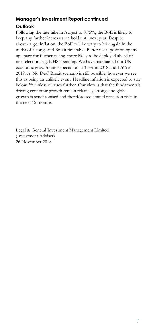# **Manager's Investment Report continued Outlook**

Following the rate hike in August to 0.75%, the BoE is likely to keep any further increases on hold until next year. Despite above-target inflation, the BoE will be wary to hike again in the midst of a congested Brexit timetable. Better fiscal position opens up space for further easing, more likely to be deployed ahead of next election, e.g. NHS spending. We have maintained our UK economic growth rate expectation at 1.3% in 2018 and 1.5% in 2019. A 'No Deal' Brexit scenario is still possible, however we see this as being an unlikely event. Headline inflation is expected to stay below 3% unless oil rises further. Our view is that the fundamentals driving economic growth remain relatively strong, and global growth is synchronised and therefore see limited recession risks in the next 12 months.

Legal & General Investment Management Limited (Investment Adviser) 26 November 2018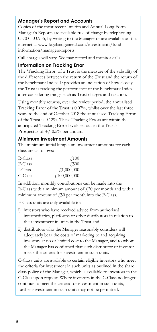## **Manager's Report and Accounts**

Copies of the most recent Interim and Annual Long Form Manager's Reports are available free of charge by telephoning 0370 050 0955, by writing to the Manager or are available on the internet at www.legalandgeneral.com/investments/fundinformation/managers-reports.

Call charges will vary. We may record and monitor calls.

### **Information on Tracking Error**

The 'Tracking Error' of a Trust is the measure of the volatility of the differences between the return of the Trust and the return of the benchmark Index. It provides an indication of how closely the Trust is tracking the performance of the benchmark Index after considering things such as Trust charges and taxation.

Using monthly returns, over the review period, the annualised Tracking Error of the Trust is 0.07%, whilst over the last three years to the end of October 2018 the annualised Tracking Error of the Trust is 0.12%. These Tracking Errors are within the anticipated Tracking Error levels set out in the Trust's Prospectus of  $+/-0.5%$  per annum.

### **Minimum Investment Amounts**

The minimum initial lump sum investment amounts for each class are as follows:

| R-Class | $\angle 100$       |
|---------|--------------------|
| F-Class | <b>£500</b>        |
| I-Class | $\sqrt{1,000,000}$ |
| C-Class | f100,000,000       |

In addition, monthly contributions can be made into the R-Class with a minimum amount of  $\text{\emph{f}}20$  per month and with a minimum amount of  $\frac{1}{2}50$  per month into the F-Class.

F-Class units are only available to:

- i) investors who have received advice from authorised intermediaries, platforms or other distributors in relation to their investment in units in the Trust and
- ii) distributors who the Manager reasonably considers will adequately bear the costs of marketing to and acquiring investors at no or limited cost to the Manager, and to whom the Manager has confirmed that such distributor or investor meets the criteria for investment in such units.

C-Class units are available to certain eligible investors who meet the criteria for investment in such units as outlined in the share class policy of the Manager, which is available to investors in the C-Class upon request. Where investors in the C-Class no longer continue to meet the criteria for investment in such units, further investment in such units may not be permitted.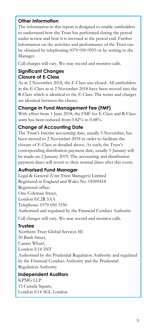# **Other Information**

The information in this report is designed to enable unitholders to understand how the Trust has performed during the period under review and how it is invested at the period end. Further information on the activities and performance of the Trust can be obtained by telephoning 0370 050 0955 or by writing to the Manager.

Call charges will vary. We may record and monitor calls.

# **Significant Changes Closure of E-Class**

As at 2 November 2018, the E-Class was closed. All unitholders in the E-Class as at 2 November 2018 have been moved into the R-Class which is identical to the E-Class. The terms and charges are identical between the classes.

# **Change in Fund Management Fee (FMF)**

With effect from 1 June 2018, the FMF for E-Class and R-Class units has been reduced from 0.82% to 0.48%.

# **Change of Accounting Date**

The Trust's Interim accounting date, usually 5 November, has been moved to 2 November 2018 in order to facilitate the closure of E-Class as detailed above. As such, the Trust's corresponding distribution payment date, usually 5 January will be made on 2 January 2019. The accounting and distribution payment dates will revert to their normal dates after this event.

# **Authorised Fund Manager**

Legal & General (Unit Trust Managers) Limited Registered in England and Wales No. 01009418 Registered office: One Coleman Street, London EC2R 5AA Telephone: 0370 050 3350 Authorised and regulated by the Financial Conduct Authority

Call charges will vary. We may record and monitor calls.

# **Trustee**

Northern Trust Global Services SE 50 Bank Street, Canary Wharf, London E14 5NT Authorised by the Prudential Regulation Authority and regulated by the Financial Conduct Authority and the Prudential Regulation Authority

**Independent Auditors** KPMG LLP 15 Canada Square, London E14 5GL London